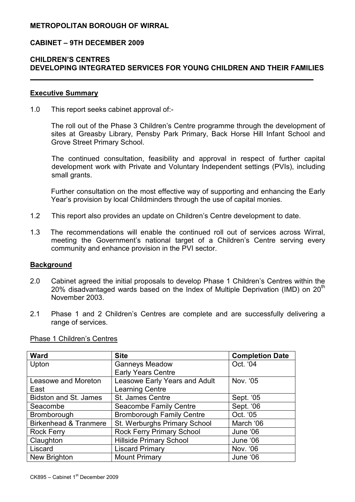## METROPOLITAN BOROUGH OF WIRRAL

### CABINET – 9TH DECEMBER 2009

## CHILDREN'S CENTRES DEVELOPING INTEGRATED SERVICES FOR YOUNG CHILDREN AND THEIR FAMILIES

### Executive Summary

1.0 This report seeks cabinet approval of:-

The roll out of the Phase 3 Children's Centre programme through the development of sites at Greasby Library, Pensby Park Primary, Back Horse Hill Infant School and Grove Street Primary School.

 The continued consultation, feasibility and approval in respect of further capital development work with Private and Voluntary Independent settings (PVIs), including small grants.

 Further consultation on the most effective way of supporting and enhancing the Early Year's provision by local Childminders through the use of capital monies.

- 1.2 This report also provides an update on Children's Centre development to date.
- 1.3 The recommendations will enable the continued roll out of services across Wirral, meeting the Government's national target of a Children's Centre serving every community and enhance provision in the PVI sector.

#### **Background**

- 2.0 Cabinet agreed the initial proposals to develop Phase 1 Children's Centres within the 20% disadvantaged wards based on the Index of Multiple Deprivation (IMD) on  $20<sup>th</sup>$ November 2003.
- 2.1 Phase 1 and 2 Children's Centres are complete and are successfully delivering a range of services.

| <b>Ward</b>                      | <b>Site</b>                          | <b>Completion Date</b> |
|----------------------------------|--------------------------------------|------------------------|
| Upton                            | <b>Ganneys Meadow</b>                | Oct. '04               |
|                                  | <b>Early Years Centre</b>            |                        |
| Leasowe and Moreton              | <b>Leasowe Early Years and Adult</b> | Nov. '05               |
| East                             | Learning Centre                      |                        |
| Bidston and St. James            | St. James Centre                     | Sept. '05              |
| Seacombe                         | <b>Seacombe Family Centre</b>        | Sept. '06              |
| Bromborough                      | <b>Bromborough Family Centre</b>     | Oct. '05               |
| <b>Birkenhead &amp; Tranmere</b> | St. Werburghs Primary School         | March '06              |
| <b>Rock Ferry</b>                | <b>Rock Ferry Primary School</b>     | June '06               |
| Claughton                        | <b>Hillside Primary School</b>       | June '06               |
| Liscard                          | <b>Liscard Primary</b>               | Nov. '06               |
| New Brighton                     | <b>Mount Primary</b>                 | June '06               |

Phase 1 Children's Centres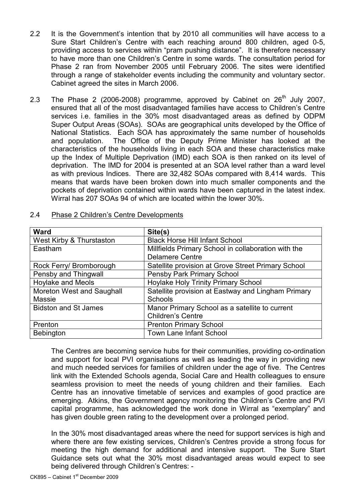- 2.2 It is the Government's intention that by 2010 all communities will have access to a Sure Start Children's Centre with each reaching around 800 children, aged 0-5, providing access to services within "pram pushing distance". It is therefore necessary to have more than one Children's Centre in some wards. The consultation period for Phase 2 ran from November 2005 until February 2006. The sites were identified through a range of stakeholder events including the community and voluntary sector. Cabinet agreed the sites in March 2006.
- 2.3 The Phase 2 (2006-2008) programme, approved by Cabinet on  $26<sup>th</sup>$  July 2007, ensured that all of the most disadvantaged families have access to Children's Centre services i.e. families in the 30% most disadvantaged areas as defined by ODPM Super Output Areas (SOAs). SOAs are geographical units developed by the Office of National Statistics. Each SOA has approximately the same number of households and population. The Office of the Deputy Prime Minister has looked at the characteristics of the households living in each SOA and these characteristics make up the Index of Multiple Deprivation (IMD) each SOA is then ranked on its level of deprivation. The IMD for 2004 is presented at an SOA level rather than a ward level as with previous Indices. There are 32,482 SOAs compared with 8,414 wards. This means that wards have been broken down into much smaller components and the pockets of deprivation contained within wards have been captured in the latest index. Wirral has 207 SOAs 94 of which are located within the lower 30%.

| <b>Ward</b>                 | Site(s)                                             |  |
|-----------------------------|-----------------------------------------------------|--|
| West Kirby & Thurstaston    | <b>Black Horse Hill Infant School</b>               |  |
| Eastham                     | Millfields Primary School in collaboration with the |  |
|                             | <b>Delamere Centre</b>                              |  |
| Rock Ferry/ Bromborough     | Satellite provision at Grove Street Primary School  |  |
| Pensby and Thingwall        | Pensby Park Primary School                          |  |
| <b>Hoylake and Meols</b>    | <b>Hoylake Holy Trinity Primary School</b>          |  |
| Moreton West and Saughall   | Satellite provision at Eastway and Lingham Primary  |  |
| Massie                      | Schools                                             |  |
| <b>Bidston and St James</b> | Manor Primary School as a satellite to current      |  |
|                             | <b>Children's Centre</b>                            |  |
| Prenton                     | <b>Prenton Primary School</b>                       |  |
| Bebington                   | <b>Town Lane Infant School</b>                      |  |

### 2.4 Phase 2 Children's Centre Developments

The Centres are becoming service hubs for their communities, providing co-ordination and support for local PVI organisations as well as leading the way in providing new and much needed services for families of children under the age of five. The Centres link with the Extended Schools agenda, Social Care and Health colleagues to ensure seamless provision to meet the needs of young children and their families. Each Centre has an innovative timetable of services and examples of good practice are emerging. Atkins, the Government agency monitoring the Children's Centre and PVI capital programme, has acknowledged the work done in Wirral as "exemplary" and has given double green rating to the development over a prolonged period.

In the 30% most disadvantaged areas where the need for support services is high and where there are few existing services, Children's Centres provide a strong focus for meeting the high demand for additional and intensive support. The Sure Start Guidance sets out what the 30% most disadvantaged areas would expect to see being delivered through Children's Centres: -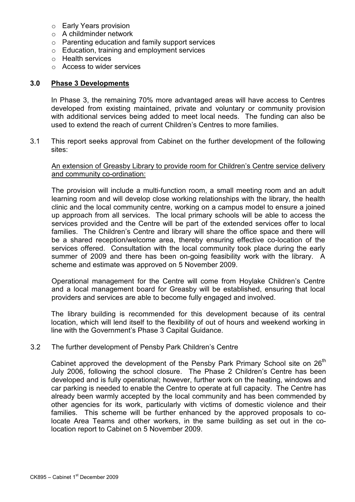- o Early Years provision
- o A childminder network
- o Parenting education and family support services
- o Education, training and employment services
- o Health services
- o Access to wider services

### 3.0 Phase 3 Developments

In Phase 3, the remaining 70% more advantaged areas will have access to Centres developed from existing maintained, private and voluntary or community provision with additional services being added to meet local needs. The funding can also be used to extend the reach of current Children's Centres to more families.

3.1 This report seeks approval from Cabinet on the further development of the following sites:

### An extension of Greasby Library to provide room for Children's Centre service delivery and community co-ordination:

The provision will include a multi-function room, a small meeting room and an adult learning room and will develop close working relationships with the library, the health clinic and the local community centre, working on a campus model to ensure a joined up approach from all services. The local primary schools will be able to access the services provided and the Centre will be part of the extended services offer to local families. The Children's Centre and library will share the office space and there will be a shared reception/welcome area, thereby ensuring effective co-location of the services offered. Consultation with the local community took place during the early summer of 2009 and there has been on-going feasibility work with the library. A scheme and estimate was approved on 5 November 2009.

Operational management for the Centre will come from Hoylake Children's Centre and a local management board for Greasby will be established, ensuring that local providers and services are able to become fully engaged and involved.

 The library building is recommended for this development because of its central location, which will lend itself to the flexibility of out of hours and weekend working in line with the Government's Phase 3 Capital Guidance.

### 3.2 The further development of Pensby Park Children's Centre

Cabinet approved the development of the Pensby Park Primary School site on 26<sup>th</sup> July 2006, following the school closure. The Phase 2 Children's Centre has been developed and is fully operational; however, further work on the heating, windows and car parking is needed to enable the Centre to operate at full capacity. The Centre has already been warmly accepted by the local community and has been commended by other agencies for its work, particularly with victims of domestic violence and their families. This scheme will be further enhanced by the approved proposals to colocate Area Teams and other workers, in the same building as set out in the colocation report to Cabinet on 5 November 2009.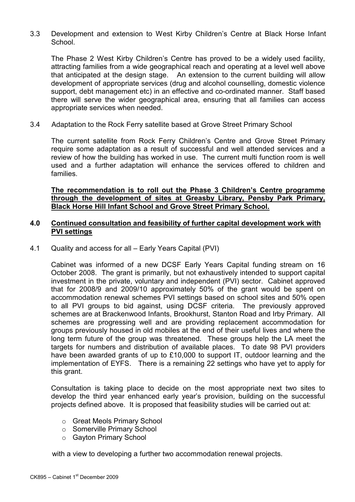3.3 Development and extension to West Kirby Children's Centre at Black Horse Infant School.

The Phase 2 West Kirby Children's Centre has proved to be a widely used facility, attracting families from a wide geographical reach and operating at a level well above that anticipated at the design stage. An extension to the current building will allow development of appropriate services (drug and alcohol counselling, domestic violence support, debt management etc) in an effective and co-ordinated manner. Staff based there will serve the wider geographical area, ensuring that all families can access appropriate services when needed.

3.4 Adaptation to the Rock Ferry satellite based at Grove Street Primary School

The current satellite from Rock Ferry Children's Centre and Grove Street Primary require some adaptation as a result of successful and well attended services and a review of how the building has worked in use. The current multi function room is well used and a further adaptation will enhance the services offered to children and families.

### The recommendation is to roll out the Phase 3 Children's Centre programme through the development of sites at Greasby Library, Pensby Park Primary, Black Horse Hill Infant School and Grove Street Primary School.

## 4.0 Continued consultation and feasibility of further capital development work with PVI settings

4.1 Quality and access for all – Early Years Capital (PVI)

Cabinet was informed of a new DCSF Early Years Capital funding stream on 16 October 2008. The grant is primarily, but not exhaustively intended to support capital investment in the private, voluntary and independent (PVI) sector. Cabinet approved that for 2008/9 and 2009/10 approximately 50% of the grant would be spent on accommodation renewal schemes PVI settings based on school sites and 50% open to all PVI groups to bid against, using DCSF criteria. The previously approved schemes are at Brackenwood Infants, Brookhurst, Stanton Road and Irby Primary. All schemes are progressing well and are providing replacement accommodation for groups previously housed in old mobiles at the end of their useful lives and where the long term future of the group was threatened. These groups help the LA meet the targets for numbers and distribution of available places. To date 98 PVI providers have been awarded grants of up to £10,000 to support IT, outdoor learning and the implementation of EYFS. There is a remaining 22 settings who have yet to apply for this grant.

Consultation is taking place to decide on the most appropriate next two sites to develop the third year enhanced early year's provision, building on the successful projects defined above. It is proposed that feasibility studies will be carried out at:

- o Great Meols Primary School
- o Somerville Primary School
- o Gayton Primary School

with a view to developing a further two accommodation renewal projects.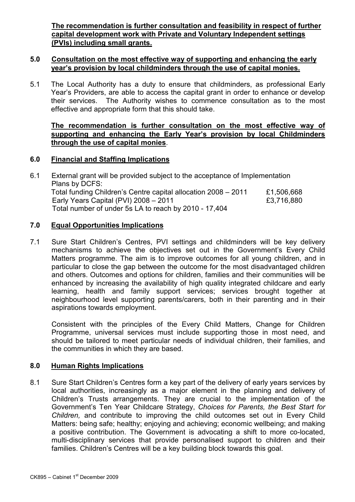The recommendation is further consultation and feasibility in respect of further capital development work with Private and Voluntary Independent settings (PVIs) including small grants.

## 5.0 Consultation on the most effective way of supporting and enhancing the early year's provision by local childminders through the use of capital monies.

5.1 The Local Authority has a duty to ensure that childminders, as professional Early Year's Providers, are able to access the capital grant in order to enhance or develop their services. The Authority wishes to commence consultation as to the most effective and appropriate form that this should take.

## The recommendation is further consultation on the most effective way of supporting and enhancing the Early Year's provision by local Childminders through the use of capital monies.

## 6.0 Financial and Staffing Implications

6.1 External grant will be provided subject to the acceptance of Implementation Plans by DCFS: Total funding Children's Centre capital allocation 2008 – 2011 £1,506,668 Early Years Capital (PVI) 2008 – 2011 **EXAM** E3,716,880 Total number of under 5s LA to reach by 2010 - 17,404

## 7.0 Equal Opportunities Implications

7.1 Sure Start Children's Centres, PVI settings and childminders will be key delivery mechanisms to achieve the objectives set out in the Government's Every Child Matters programme. The aim is to improve outcomes for all young children, and in particular to close the gap between the outcome for the most disadvantaged children and others. Outcomes and options for children, families and their communities will be enhanced by increasing the availability of high quality integrated childcare and early learning, health and family support services; services brought together at neighbourhood level supporting parents/carers, both in their parenting and in their aspirations towards employment.

 Consistent with the principles of the Every Child Matters, Change for Children Programme, universal services must include supporting those in most need, and should be tailored to meet particular needs of individual children, their families, and the communities in which they are based.

# 8.0 Human Rights Implications

8.1 Sure Start Children's Centres form a key part of the delivery of early years services by local authorities, increasingly as a major element in the planning and delivery of Children's Trusts arrangements. They are crucial to the implementation of the Government's Ten Year Childcare Strategy, Choices for Parents, the Best Start for Children, and contribute to improving the child outcomes set out in Every Child Matters: being safe; healthy; enjoying and achieving; economic wellbeing; and making a positive contribution. The Government is advocating a shift to more co-located, multi-disciplinary services that provide personalised support to children and their families. Children's Centres will be a key building block towards this goal.